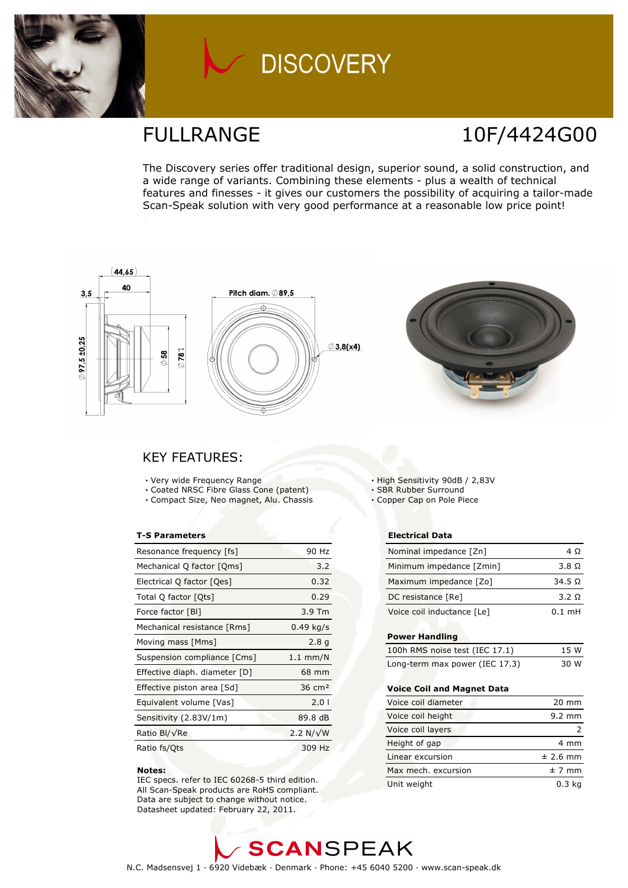

## **DISCOVERY**

### FULLRANGE 10F/4424G00

The Discovery series offer traditional design, superior sound, a solid construction, and a wide range of variants. Combining these elements - plus a wealth of technical features and finesses - it gives our customers the possibility of acquiring a tailor-made Scan-Speak solution with very good performance at a reasonable low price point!



### KEY FEATURES:

- Very wide Frequency Range
- Coated NRSC Fibre Glass Cone (patent)
- Compact Size, Neo magnet, Alu. Chassis

#### T-S Parameters

| Resonance frequency [fs]      | 90 Hz             |
|-------------------------------|-------------------|
| Mechanical Q factor [Qms]     | 3.2               |
| Electrical Q factor [Qes]     | 0.32              |
| Total Q factor [Ots]          | 0.29              |
| Force factor [BI]             | $3.9$ Tm          |
| Mechanical resistance [Rms]   | $0.49$ kg/s       |
| Moving mass [Mms]             | 2.8 <sub>q</sub>  |
| Suspension compliance [Cms]   | $1.1$ mm/N        |
| Effective diaph. diameter [D] | 68 mm             |
| Effective piston area [Sd]    | $36 \text{ cm}^2$ |
| Equivalent volume [Vas]       | 2.01              |
| Sensitivity (2.83V/1m)        | 89.8 dB           |
| Ratio Bl/√Re                  | 2.2 $N/\sqrt{W}$  |
| Ratio fs/Qts                  | 309 Hz            |

#### Notes:

 IEC specs. refer to IEC 60268-5 third edition. All Scan-Speak products are RoHS compliant. Data are subject to change without notice. Datasheet updated: February 22, 2011.

High Sensitivity 90dB / 2,83V

SBR Rubber Surround

Copper Cap on Pole Piece

#### Electrical Data

| Nominal impedance [Zn]     | 4 O           |
|----------------------------|---------------|
| Minimum impedance [Zmin]   | $3.8\Omega$   |
| Maximum impedance [Zo]     | $34.5 \Omega$ |
| DC resistance [Re]         | 3.2 Q         |
| Voice coil inductance [Le] | $0.1$ mH      |

#### Power Handling

| 100h RMS noise test (IEC 17.1) | 15 W |
|--------------------------------|------|
| Long-term max power (IEC 17.3) | 30 W |

#### Voice Coil and Magnet Data

| Voice coil diameter | $20 \text{ mm}$   |
|---------------------|-------------------|
| Voice coil height   | $9.2 \text{ mm}$  |
| Voice coil layers   |                   |
| Height of gap       | 4 mm              |
| Linear excursion    | $±$ 2.6 mm        |
| Max mech, excursion | ± 7 mm            |
| Unit weight         | 0.3 <sub>kq</sub> |